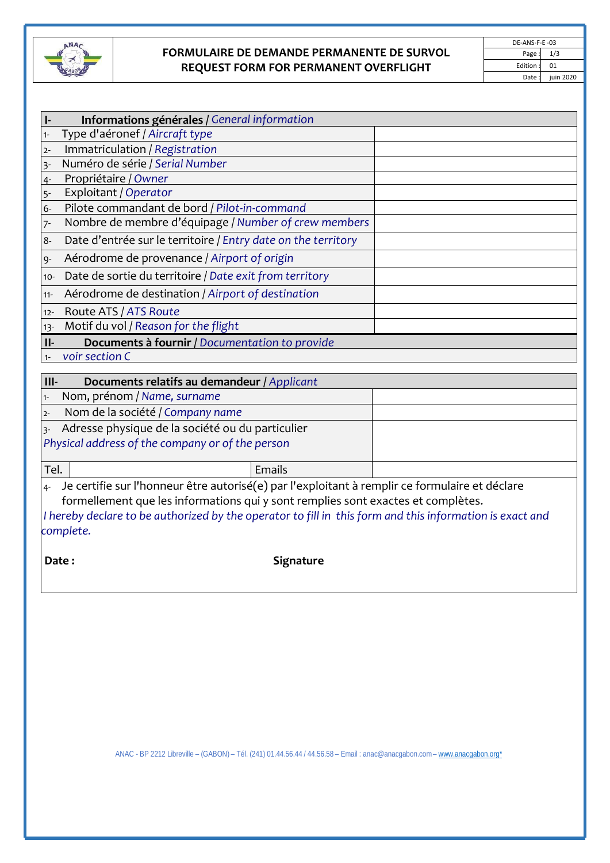

## **FORMULAIRE DE DEMANDE PERMANENTE DE SURVOL REQUEST FORM FOR PERMANENT OVERFLIGHT**

| $\vert$ 1- | Informations générales / General information                  |  |
|------------|---------------------------------------------------------------|--|
| $1 -$      | Type d'aéronef / Aircraft type                                |  |
| $2 -$      | Immatriculation / Registration                                |  |
| $3 -$      | Numéro de série / Serial Number                               |  |
| $4 -$      | Propriétaire / Owner                                          |  |
| $5 -$      | Exploitant / Operator                                         |  |
| $6-$       | Pilote commandant de bord / Pilot-in-command                  |  |
| $7 -$      | Nombre de membre d'équipage / Number of crew members          |  |
| $8-$       | Date d'entrée sur le territoire / Entry date on the territory |  |
| $9 -$      | Aérodrome de provenance / Airport of origin                   |  |
| $10-$      | Date de sortie du territoire / Date exit from territory       |  |
| $11 -$     | Aérodrome de destination / Airport of destination             |  |
| $12 -$     | Route ATS / ATS Route                                         |  |
| $13 -$     | Motif du vol / Reason for the flight                          |  |
| $II-$      | Documents à fournir / Documentation to provide                |  |
| $1 -$      | voir section C                                                |  |

| $III -$                                                                                                    | Documents relatifs au demandeur / Applicant |               |  |
|------------------------------------------------------------------------------------------------------------|---------------------------------------------|---------------|--|
|                                                                                                            | Nom, prénom / Name, surname                 |               |  |
| $2 -$                                                                                                      | Nom de la société / Company name            |               |  |
| $3 -$ Adresse physique de la société ou du particulier<br>Physical address of the company or of the person |                                             |               |  |
| Tel.                                                                                                       |                                             | <b>Fmails</b> |  |

4‐ Je certifie sur l'honneur être autorisé(e) par l'exploitant à remplir ce formulaire et déclare formellement que les informations qui y sont remplies sont exactes et complètes. I hereby declare to be authorized by the operator to fill in this form and this information is exact and *complete.*

Date **: Date : CONS** 

ANAC - BP 2212 Libreville – (GABON) – Tél. (241) 01.44.56.44 / 44.56.58 – Email : anac@anacgabon.com – www.anacgabon.org\*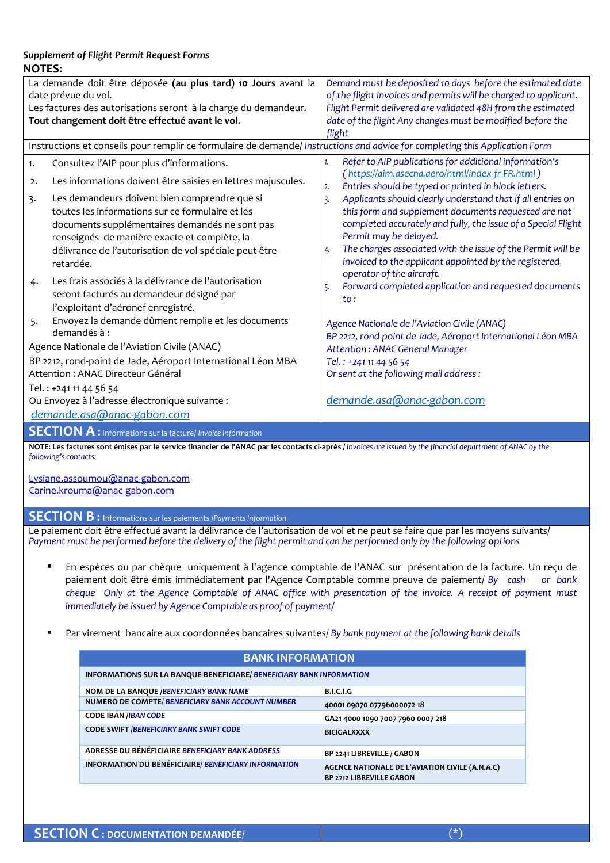## *Supplement of Flight Permit Request Forms* **NOTES:**

| La demande doit être déposée (au plus tard) 10 Jours avant la<br>Demand must be deposited 10 days before the estimated date  |                                                                                                               |  |  |  |
|------------------------------------------------------------------------------------------------------------------------------|---------------------------------------------------------------------------------------------------------------|--|--|--|
| date prévue du vol.                                                                                                          | of the flight Invoices and permits will be charged to applicant.                                              |  |  |  |
| Les factures des autorisations seront à la charge du demandeur.                                                              | Flight Permit delivered are validated 48H from the estimated                                                  |  |  |  |
| Tout changement doit être effectué avant le vol.                                                                             | date of the flight Any changes must be modified before the                                                    |  |  |  |
|                                                                                                                              | flight                                                                                                        |  |  |  |
| Instructions et conseils pour remplir ce formulaire de demande/ Instructions and advice for completing this Application Form |                                                                                                               |  |  |  |
| Consultez l'AIP pour plus d'informations.<br>1.                                                                              | Refer to AIP publications for additional information's<br>1.                                                  |  |  |  |
| Les informations doivent être saisies en lettres majuscules.<br>2.                                                           | (https://aim.asecna.aero/html/index-fr-FR.html)<br>Entries should be typed or printed in block letters.<br>2. |  |  |  |
| Les demandeurs doivent bien comprendre que si<br>3.                                                                          | Applicants should clearly understand that if all entries on<br>$\overline{3}$                                 |  |  |  |
| toutes les informations sur ce formulaire et les                                                                             | this form and supplement documents requested are not                                                          |  |  |  |
| documents supplémentaires demandés ne sont pas                                                                               | completed accurately and fully, the issue of a Special Flight                                                 |  |  |  |
| renseignés de manière exacte et complète, la                                                                                 | Permit may be delayed.                                                                                        |  |  |  |
| délivrance de l'autorisation de vol spéciale peut être                                                                       | The charges associated with the issue of the Permit will be<br>4.                                             |  |  |  |
| retardée.                                                                                                                    | invoiced to the applicant appointed by the registered                                                         |  |  |  |
| Les frais associés à la délivrance de l'autorisation<br>4.                                                                   | operator of the aircraft.                                                                                     |  |  |  |
| seront facturés au demandeur désigné par                                                                                     | Forward completed application and requested documents<br>5.                                                   |  |  |  |
| l'exploitant d'aéronef enregistré.                                                                                           | $\mathsf{to}$ :                                                                                               |  |  |  |
| Envoyez la demande dûment remplie et les documents<br>5.                                                                     |                                                                                                               |  |  |  |
| demandés à :                                                                                                                 | Agence Nationale de l'Aviation Civile (ANAC)<br>BP 2212, rond-point de Jade, Aéroport International Léon MBA  |  |  |  |
| Agence Nationale de l'Aviation Civile (ANAC)                                                                                 | Attention: ANAC General Manager                                                                               |  |  |  |
| BP 2212, rond-point de Jade, Aéroport International Léon MBA                                                                 | Tel.: +241 11 44 56 54                                                                                        |  |  |  |
| Attention: ANAC Directeur Général                                                                                            | Or sent at the following mail address:                                                                        |  |  |  |
| Tel.: +241 11 44 56 54                                                                                                       |                                                                                                               |  |  |  |
| Ou Envoyez à l'adresse électronique suivante :                                                                               | demande.asa@anac-gabon.com                                                                                    |  |  |  |
| demande.asa@anac-gabon.com                                                                                                   |                                                                                                               |  |  |  |
| <b>SECTION A</b> : Informations sur la facture/ Invoice Information                                                          |                                                                                                               |  |  |  |

NOTE: Les factures sont émises par le service financier de l'ANAC par les contacts ci-après / Invoices are issued by the financial department of ANAC by the *following's contacts:*

Lysiane.assoumou@anac‐gabon.com Carine.krouma@anac‐gabon.com

**SECTION B** : Informations sur les paiements *| Payments Information* 

Le paiement doit être effectué avant la délivrance de l'autorisation de vol et ne peut se faire que par les moyens suivants/ Payment must be performed before the delivery of the flight permit and can be performed only by the following options

- En espèces ou par chèque uniquement à l'agence comptable de l'ANAC sur présentation de la facture. Un reçu de paiement doit être émis immédiatement par l'Agence Comptable comme preuve de paiement/ *By cash or bank* cheque Only at the Agence Comptable of ANAC office with presentation of the invoice. A receipt of payment must *immediately be issued by Agence Comptable as proof of payment/*
- Par virement bancaire aux coordonnées bancaires suivantes/ *By bank payment atthe following bank details*

| <b>BANK INFORMATION</b>                                              |                                                                                    |  |  |
|----------------------------------------------------------------------|------------------------------------------------------------------------------------|--|--|
| INFORMATIONS SUR LA BANQUE BENEFICIARE/ BENEFICIARY BANK INFORMATION |                                                                                    |  |  |
| NOM DE LA BANQUE / BENEFICIARY BANK NAME                             | B.I.C.I.G                                                                          |  |  |
| NUMERO DE COMPTE/ BENEFICIARY BANK ACCOUNT NUMBER                    | 40001 09070 07796000072 18                                                         |  |  |
| <b>CODE IBAN /IBAN CODE</b>                                          | GA21 4000 1090 7007 7960 0007 218                                                  |  |  |
| <b>CODE SWIFT /BENEFICIARY BANK SWIFT CODE</b>                       | <b>BICIGALXXXX</b>                                                                 |  |  |
| ADRESSE DU BÉNÉFICIAIRE BENEFICIARY BANK ADDRESS                     | BP 2241 LIBREVILLE / GABON                                                         |  |  |
| <b>INFORMATION DU BÉNÉFICIAIRE/ BENEFICIARY INFORMATION</b>          | AGENCE NATIONALE DE L'AVIATION CIVILE (A.N.A.C)<br><b>BP 2212 LIBREVILLE GABON</b> |  |  |